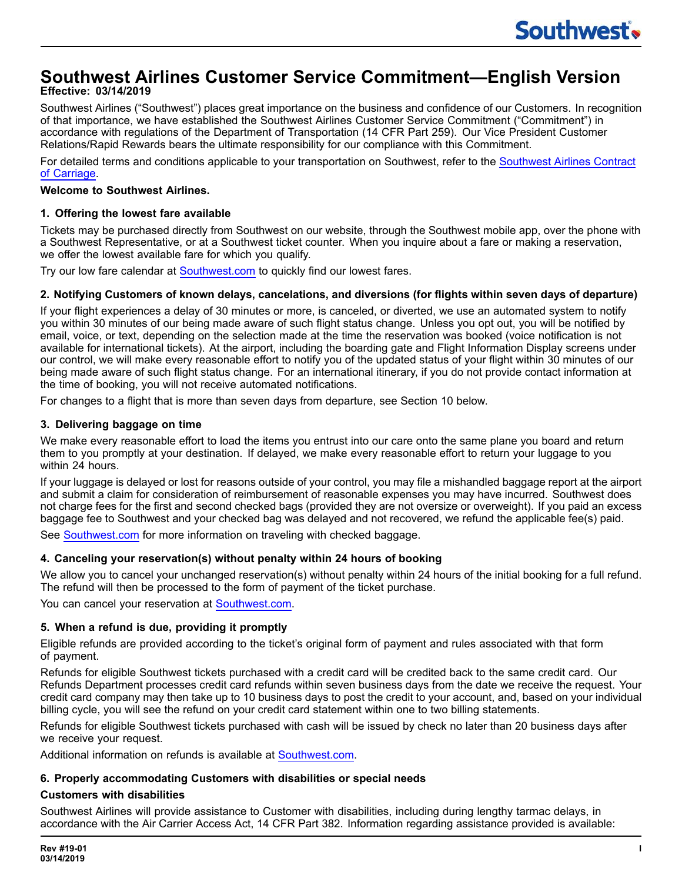# **Southwest Airlines Customer Service Commitment—English Version Effective: 03/14/2019**

Southwest Airlines ("Southwest") places great importance on the business and confidence of our Customers. In recognition of that importance, we have established the Southwest Airlines Customer Service Commitment ("Commitment") in accordance with regulations of the Department of Transportation (14 CFR Part 259). Our Vice President Customer Relations/Rapid Rewards bears the ultimate responsibility for our compliance with this Commitment.

For detailed terms and conditions applicable to your transportation on Southwest, refer to the [Southwest](https://www.southwest.com/assets/pdfs/corporate-commitments/contract-of-carriage.pdf) Airlines Contract of [Carriage](https://www.southwest.com/assets/pdfs/corporate-commitments/contract-of-carriage.pdf).

## **Welcome to Southwest Airlines.**

## **1. Offering the lowest fare available**

Tickets may be purchased directly from Southwest on our website, through the Southwest mobile app, over the phone with a Southwest Representative, or at a Southwest ticket counter. When you inquire about a fare or making a reservation, we offer the lowest available fare for which you qualify.

Try our low fare calendar at [Southwest.com](https://www.southwest.com/air/low-fare-calendar/index.html?redirectToVision=true&leapfrogRequest=true) to quickly find our lowest fares.

## 2. Notifying Customers of known delays, cancelations, and diversions (for flights within seven days of departure)

If your flight experiences a delay of 30 minutes or more, is canceled, or diverted, we use an automated system to notify you within 30 minutes of our being made aware of such flight status change. Unless you opt out, you will be notified by email, voice, or text, depending on the selection made at the time the reservation was booked (voice notification is not available for international tickets). At the airport, including the boarding gate and Flight Information Display screens under our control, we will make every reasonable effort to notify you of the updated status of your flight within 30 minutes of our being made aware of such flight status change. For an international itinerary, if you do not provide contact information at the time of booking, you will not receive automated notifications.

For changes to a flight that is more than seven days from departure, see Section 10 below.

## **3. Delivering baggage on time**

We make every reasonable effort to load the items you entrust into our care onto the same plane you board and return them to you promptly at your destination. If delayed, we make every reasonable effort to return your luggage to you within 24 hours.

If your luggage is delayed or lost for reasons outside of your control, you may file a mishandled baggage report at the airport and submit a claim for consideration of reimbursement of reasonable expenses you may have incurred. Southwest does not charge fees for the first and second checked bags (provided they are not oversize or overweight). If you paid an excess baggage fee to Southwest and your checked bag was delayed and not recovered, we refund the applicable fee(s) paid.

See [Southwest.com](https://www.southwest.com/html/customer-service/baggage/checked-bags-pol.html) for more information on traveling with checked baggage.

# **4. Canceling your reservation(s) without penalty within 24 hours of booking**

We allow you to cancel your unchanged reservation(s) without penalty within 24 hours of the initial booking for a full refund. The refund will then be processed to the form of payment of the ticket purchase.

You can cancel your reservation at [Southwest.com.](https://www.southwest.com/air/cancel-reservation/index.html)

# **5. When a refund is due, providing it promptly**

Eligible refunds are provided according to the ticket's original form of payment and rules associated with that form of payment.

Refunds for eligible Southwest tickets purchased with a credit card will be credited back to the same credit card. Our Refunds Department processes credit card refunds within seven business days from the date we receive the request. Your credit card company may then take up to 10 business days to post the credit to your account, and, based on your individual billing cycle, you will see the refund on your credit card statement within one to two billing statements.

Refunds for eligible Southwest tickets purchased with cash will be issued by check no later than 20 business days after we receive your request.

Additional information on refunds is available at [Southwest.com.](https://www.southwest.com/html/customer-service/purchasing-and-refunds/refund-info-pol.html)

### **6. Properly accommodating Customers with disabilities or special needs**

# **Customers with disabilities**

Southwest Airlines will provide assistance to Customer with disabilities, including during lengthy tarmac delays, in accordance with the Air Carrier Access Act, 14 CFR Part 382. Information regarding assistance provided is available: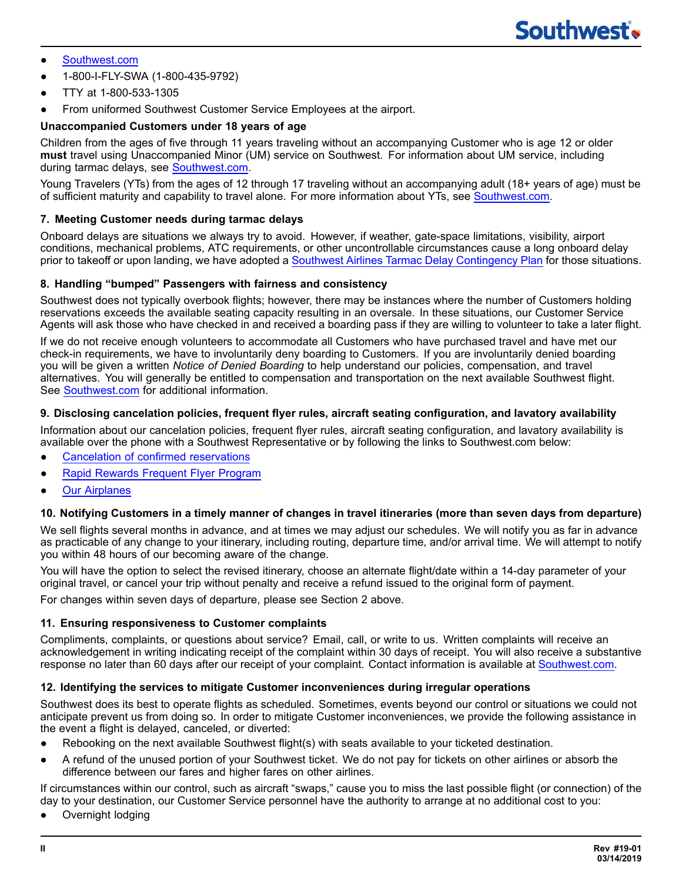- [Southwest.com](https://www.southwest.com/html/customer-service/unique-travel-needs/customers-with-disabilities-pol.html)
- ● 1-800-I-FLY-SWA (1-800-435-9792)
- TTY at 1-800-533-1305
- From uniformed Southwest Customer Service Employees at the airport.

# **Unaccompanied Customers under 18 years of age**

Children from the ages of five through 11 years traveling without an accompanying Customer who is age 12 or older **must** travel using Unaccompanied Minor (UM) service on Southwest. For information about UM service, including during tarmac delays, see [Southwest.com.](https://www.southwest.com/html/customer-service/family/unaccompanied-minors-pol.html)

Young Travelers (YTs) from the ages of 12 through 17 traveling without an accompanying adult (18+ years of age) must be of sufficient maturity and capability to travel alone. For more information about YTs, see [Southwest.com.](https://www.southwest.com/html/customer-service/family/young-travelers.html)

## **7. Meeting Customer needs during tarmac delays**

Onboard delays are situations we always try to avoid. However, if weather, gate-space limitations, visibility, airport conditions, mechanical problems, ATC requirements, or other uncontrollable circumstances cause a long onboard delay prior to takeoff or upon landing, we have adopted a Southwest Airlines Tarmac Delay [Contingency](https://www.southwest.com/assets/pdfs/corporate-commitments/tarmac-delay-commitment.pdf) Plan for those situations.

### **8. Handling "bumped" Passengers with fairness and consistency**

Southwest does not typically overbook flights; however, there may be instances where the number of Customers holding reservations exceeds the available seating capacity resulting in an oversale. In these situations, our Customer Service Agents will ask those who have checked in and received a boarding pass if they are willing to volunteer to take a later flight.

If we do not receive enough volunteers to accommodate all Customers who have purchased travel and have met our check-in requirements, we have to involuntarily deny boarding to Customers. If you are involuntarily denied boarding you will be given a written *Notice of Denied Boarding* to help understand our policies, compensation, and travel alternatives. You will generally be entitled to compensation and transportation on the next available Southwest flight. See [Southwest.com](https://www.southwest.com/html/customer-service/faqs.html?topic=overbooking) for additional information.

#### **9. Disclosing cancelation policies, frequent flyer rules, aircraft seating configuration, and lavatory availability**

Information about our cancelation policies, frequent flyer rules, aircraft seating configuration, and lavatory availability is available over the phone with a Southwest Representative or by following the links to Southwest.com below:

- Cancelation of confirmed [reservations](https://www.southwest.com/html/customer-service/purchasing-and-refunds/index.html)
- **Rapid Rewards [Frequent](https://www.southwest.com/rapidrewards/about) Flyer Program**
- **Our [Airplanes](https://www.southwest.com/html/travel-experience/in-the-air.html#our_airplanes)**

### 10. Notifying Customers in a timely manner of changes in travel itineraries (more than seven days from departure)

We sell flights several months in advance, and at times we may adjust our schedules. We will notify you as far in advance as practicable of any change to your itinerary, including routing, departure time, and/or arrival time. We will attempt to notify you within 48 hours of our becoming aware of the change.

You will have the option to select the revised itinerary, choose an alternate flight/date within a 14-day parameter of your original travel, or cancel your trip without penalty and receive a refund issued to the original form of payment.

For changes within seven days of departure, please see Section 2 above.

### **11. Ensuring responsiveness to Customer complaints**

Compliments, complaints, or questions about service? Email, call, or write to us. Written complaints will receive an acknowledgement in writing indicating receipt of the complaint within 30 days of receipt. You will also receive a substantive response no later than 60 days after our receipt of your complaint. Contact information is available at [Southwest.com.](https://www.southwest.com/contact-us/contact-us.html)

### **12. Identifying the services to mitigate Customer inconveniences during irregular operations**

Southwest does its best to operate flights as scheduled. Sometimes, events beyond our control or situations we could not anticipate prevent us from doing so. In order to mitigate Customer inconveniences, we provide the following assistance in the event a flight is delayed, canceled, or diverted:

- ● Rebooking on the next available Southwest flight(s) with seats available to your ticketed destination.
- ● A refund of the unused portion of your Southwest ticket. We do not pay for tickets on other airlines or absorb the difference between our fares and higher fares on other airlines.

If circumstances within our control, such as aircraft "swaps," cause you to miss the last possible flight (or connection) of the day to your destination, our Customer Service personnel have the authority to arrange at no additional cost to you:

• Overnight lodging